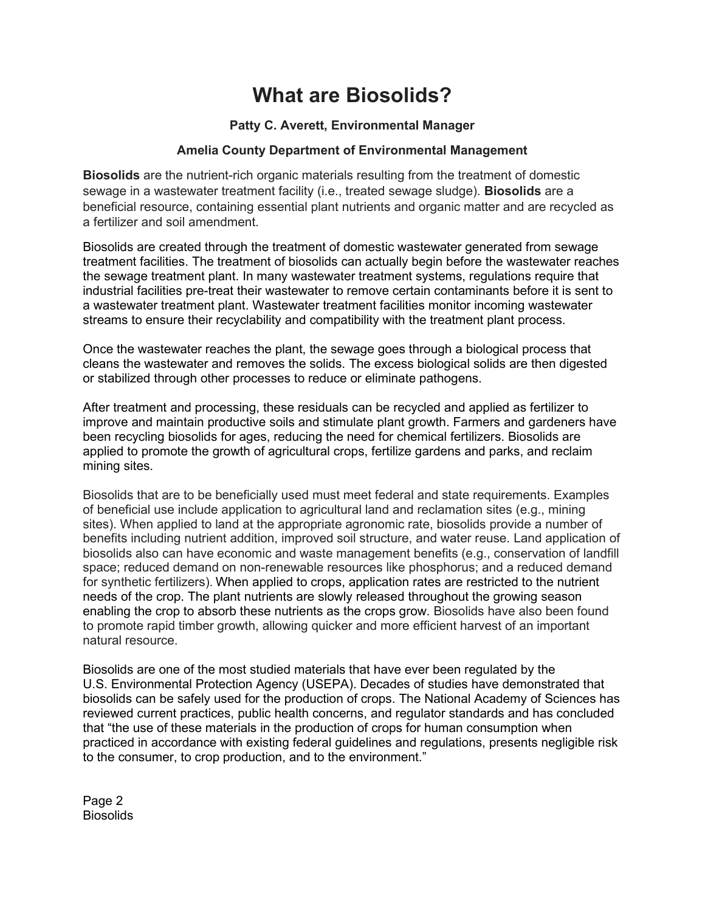# **What are Biosolids?**

# **Patty C. Averett, Environmental Manager**

# **Amelia County Department of Environmental Management**

**Biosolids** are the nutrient-rich organic materials resulting from the treatment of domestic sewage in a wastewater treatment facility (i.e., treated sewage sludge). **Biosolids** are a beneficial resource, containing essential plant nutrients and organic matter and are recycled as a fertilizer and soil amendment.

Biosolids are created through the treatment of domestic wastewater generated from sewage treatment facilities. The treatment of biosolids can actually begin before the wastewater reaches the sewage treatment plant. In many wastewater treatment systems, regulations require that industrial facilities pre-treat their wastewater to remove certain contaminants before it is sent to a wastewater treatment plant. Wastewater treatment facilities monitor incoming wastewater streams to ensure their recyclability and compatibility with the treatment plant process.

Once the wastewater reaches the plant, the sewage goes through a biological process that cleans the wastewater and removes the solids. The excess biological solids are then digested or stabilized through other processes to reduce or eliminate pathogens.

After treatment and processing, these residuals can be recycled and applied as fertilizer to improve and maintain productive soils and stimulate plant growth. Farmers and gardeners have been recycling biosolids for ages, reducing the need for chemical fertilizers. Biosolids are applied to promote the growth of agricultural crops, fertilize gardens and parks, and reclaim mining sites.

Biosolids that are to be beneficially used must meet federal and state requirements. Examples of beneficial use include application to agricultural land and reclamation sites (e.g., mining sites). When applied to land at the appropriate agronomic rate, biosolids provide a number of benefits including nutrient addition, improved soil structure, and water reuse. Land application of biosolids also can have economic and waste management benefits (e.g., conservation of landfill space; reduced demand on non-renewable resources like phosphorus; and a reduced demand for synthetic fertilizers). When applied to crops, application rates are restricted to the nutrient needs of the crop. The plant nutrients are slowly released throughout the growing season enabling the crop to absorb these nutrients as the crops grow. Biosolids have also been found to promote rapid timber growth, allowing quicker and more efficient harvest of an important natural resource.

Biosolids are one of the most studied materials that have ever been regulated by the U.S. Environmental Protection Agency (USEPA). Decades of studies have demonstrated that biosolids can be safely used for the production of crops. The National Academy of Sciences has reviewed current practices, public health concerns, and regulator standards and has concluded that "the use of these materials in the production of crops for human consumption when practiced in accordance with existing federal guidelines and regulations, presents negligible risk to the consumer, to crop production, and to the environment."

Page 2 **Biosolids**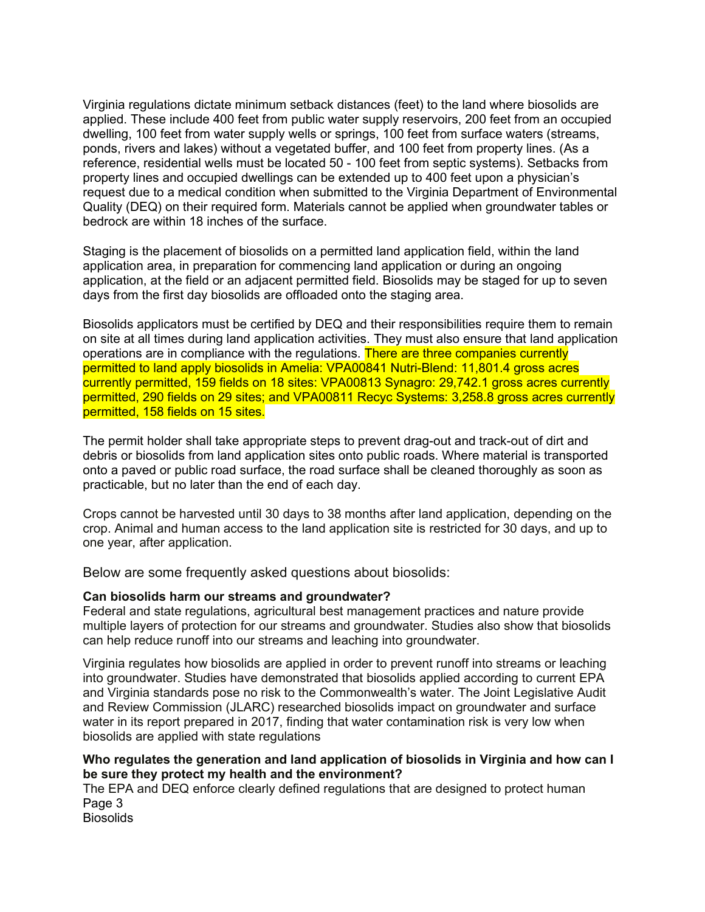Virginia regulations dictate minimum setback distances (feet) to the land where biosolids are applied. These include 400 feet from public water supply reservoirs, 200 feet from an occupied dwelling, 100 feet from water supply wells or springs, 100 feet from surface waters (streams, ponds, rivers and lakes) without a vegetated buffer, and 100 feet from property lines. (As a reference, residential wells must be located 50 - 100 feet from septic systems). Setbacks from property lines and occupied dwellings can be extended up to 400 feet upon a physician's request due to a medical condition when submitted to the Virginia Department of Environmental Quality (DEQ) on their required form. Materials cannot be applied when groundwater tables or bedrock are within 18 inches of the surface.

Staging is the placement of biosolids on a permitted land application field, within the land application area, in preparation for commencing land application or during an ongoing application, at the field or an adjacent permitted field. Biosolids may be staged for up to seven days from the first day biosolids are offloaded onto the staging area.

Biosolids applicators must be certified by DEQ and their responsibilities require them to remain on site at all times during land application activities. They must also ensure that land application operations are in compliance with the regulations. There are three companies currently permitted to land apply biosolids in Amelia: VPA00841 Nutri-Blend: 11,801.4 gross acres currently permitted, 159 fields on 18 sites: VPA00813 Synagro: 29,742.1 gross acres currently permitted, 290 fields on 29 sites; and VPA00811 Recyc Systems: 3,258.8 gross acres currently permitted, 158 fields on 15 sites.

The permit holder shall take appropriate steps to prevent drag-out and track-out of dirt and debris or biosolids from land application sites onto public roads. Where material is transported onto a paved or public road surface, the road surface shall be cleaned thoroughly as soon as practicable, but no later than the end of each day.

Crops cannot be harvested until 30 days to 38 months after land application, depending on the crop. Animal and human access to the land application site is restricted for 30 days, and up to one year, after application.

Below are some frequently asked questions about biosolids:

## **Can biosolids harm our streams and groundwater?**

Federal and state regulations, agricultural best management practices and nature provide multiple layers of protection for our streams and groundwater. Studies also show that biosolids can help reduce runoff into our streams and leaching into groundwater.

Virginia regulates how biosolids are applied in order to prevent runoff into streams or leaching into groundwater. Studies have demonstrated that biosolids applied according to current EPA and Virginia standards pose no risk to the Commonwealth's water. The Joint Legislative Audit and Review Commission (JLARC) researched biosolids impact on groundwater and surface water in its report prepared in 2017, finding that water contamination risk is very low when biosolids are applied with state regulations

## **Who regulates the generation and land application of biosolids in Virginia and how can I be sure they protect my health and the environment?**

The EPA and DEQ enforce clearly defined regulations that are designed to protect human Page 3 **Biosolids**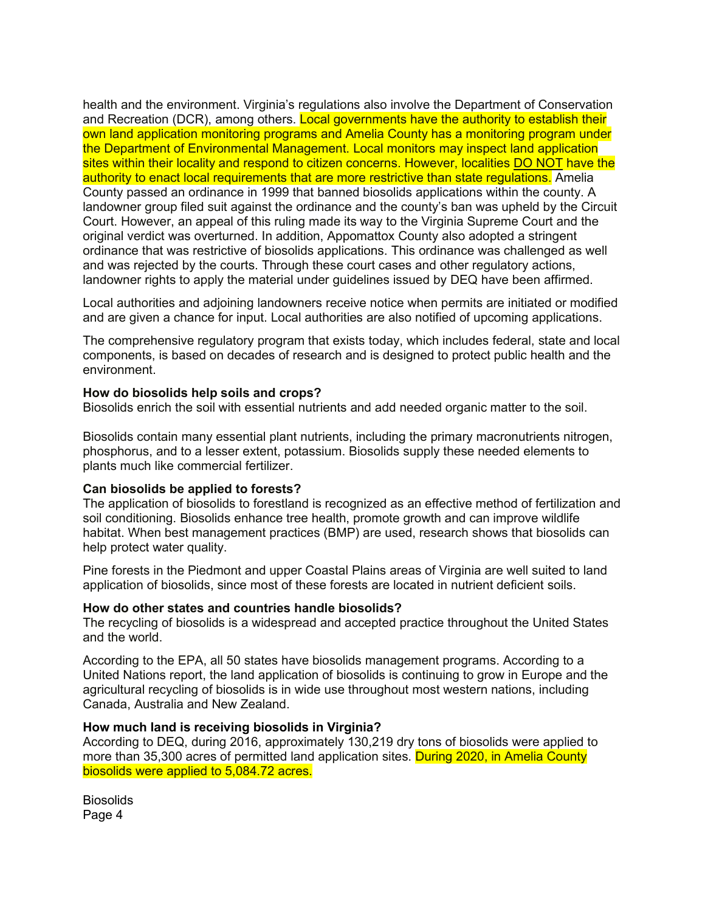health and the environment. Virginia's regulations also involve the Department of Conservation and Recreation (DCR), among others. Local governments have the authority to establish their own land application monitoring programs and Amelia County has a monitoring program under the Department of Environmental Management. Local monitors may inspect land application sites within their locality and respond to citizen concerns. However, localities DO NOT have the authority to enact local requirements that are more restrictive than state regulations. Amelia County passed an ordinance in 1999 that banned biosolids applications within the county. A landowner group filed suit against the ordinance and the county's ban was upheld by the Circuit Court. However, an appeal of this ruling made its way to the Virginia Supreme Court and the original verdict was overturned. In addition, Appomattox County also adopted a stringent ordinance that was restrictive of biosolids applications. This ordinance was challenged as well and was rejected by the courts. Through these court cases and other regulatory actions, landowner rights to apply the material under guidelines issued by DEQ have been affirmed.

Local authorities and adjoining landowners receive notice when permits are initiated or modified and are given a chance for input. Local authorities are also notified of upcoming applications.

The comprehensive regulatory program that exists today, which includes federal, state and local components, is based on decades of research and is designed to protect public health and the environment.

#### **How do biosolids help soils and crops?**

Biosolids enrich the soil with essential nutrients and add needed organic matter to the soil.

Biosolids contain many essential plant nutrients, including the primary macronutrients nitrogen, phosphorus, and to a lesser extent, potassium. Biosolids supply these needed elements to plants much like commercial fertilizer.

#### **Can biosolids be applied to forests?**

The application of biosolids to forestland is recognized as an effective method of fertilization and soil conditioning. Biosolids enhance tree health, promote growth and can improve wildlife habitat. When best management practices (BMP) are used, research shows that biosolids can help protect water quality.

Pine forests in the Piedmont and upper Coastal Plains areas of Virginia are well suited to land application of biosolids, since most of these forests are located in nutrient deficient soils.

#### **How do other states and countries handle biosolids?**

The recycling of biosolids is a widespread and accepted practice throughout the United States and the world.

According to the EPA, all 50 states have biosolids management programs. According to a United Nations report, the land application of biosolids is continuing to grow in Europe and the agricultural recycling of biosolids is in wide use throughout most western nations, including Canada, Australia and New Zealand.

#### **How much land is receiving biosolids in Virginia?**

According to DEQ, during 2016, approximately 130,219 dry tons of biosolids were applied to more than 35,300 acres of permitted land application sites. During 2020, in Amelia County biosolids were applied to 5,084.72 acres.

**Biosolids** Page 4